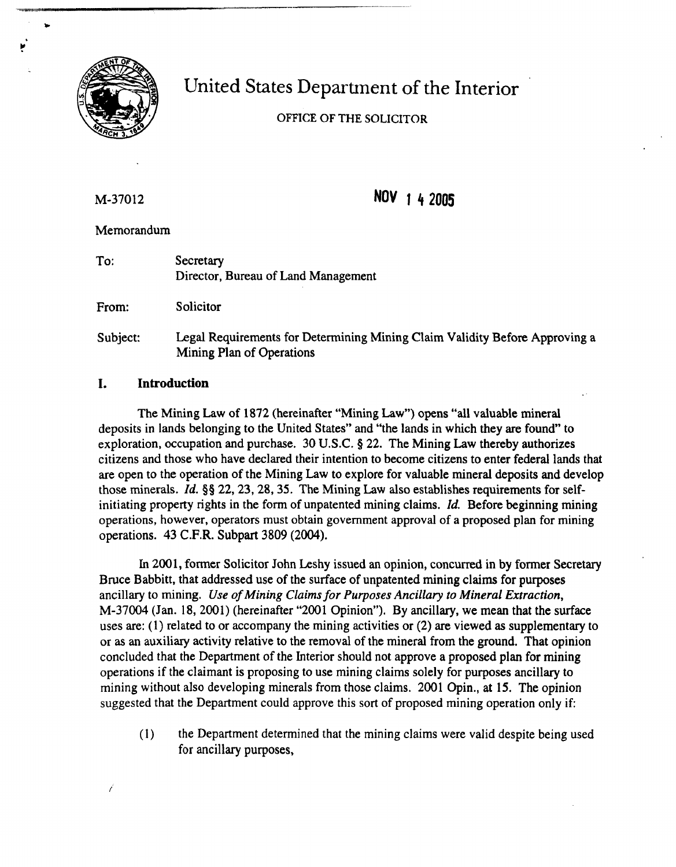

# United States Department of the Interior

# **OFFICE OF THESOLICITOR**

M-37012

NOV 1 4 2005

Memorandum

To: Secretary Director, Bureau of Land Management

From: Solicitor

Subject: Legal Requirements for Determining Mining Claim Validity Before Approving a Mining Plan of Operations

### **1. Introduction**

The Mining Law of 1872 (hereinafter "Mining Law") opens "all valuable mineral deposits in lands belonging to the United States" and "the lands in which they are found" to exploration, occupation and purchase. 30 U.S.C. **8** 22. The Mining Law thereby authorizes citizens and those who have declared their intention to become citizens to enter federal lands that are open to the operation of the Mining Law to explore for valuable mineral deposits and develop those minerals. Id. **\$5** 22,23,28,35. The Mining Law also establishes requirements for selfinitiating property rights in the form of unpatented mining claims. Id. Before beginning mining operations, however, operators must obtain government approval of a proposed plan for mining operations. 43 C.F.R. Subpart 3809 (2004).

In 2001, former Solicitor John Leshy issued an opinion, concurred in by former Secretary Bruce Babbitt, that addressed use of the surface of unpatented mining claims for purposes ancillary to mining. *Use of Mining Claims for Purposes Ancillary to Mineral Extraction,*  M-37004 (Jan. 18,2001) (hereinafter "2001 Opinion"). By ancillary, we mean that the surface uses are: (1) related to or accompany the mining activities or (2) are viewed as supplementary to or as an auxiliary activity relative to the removal of the mineral from the ground. That opinion concluded that the Department of the Interior should not approve a proposed plan for mining operations if the claimant is proposing to use mining claims solely for purposes ancillary to mining without also developing minerals from those claims. 2001 Opin., at 15. The opinion suggested that the Department could approve this sort of proposed mining operation only if:

(1) the Department determined that the mining claims were valid despite being used for ancillary purposes,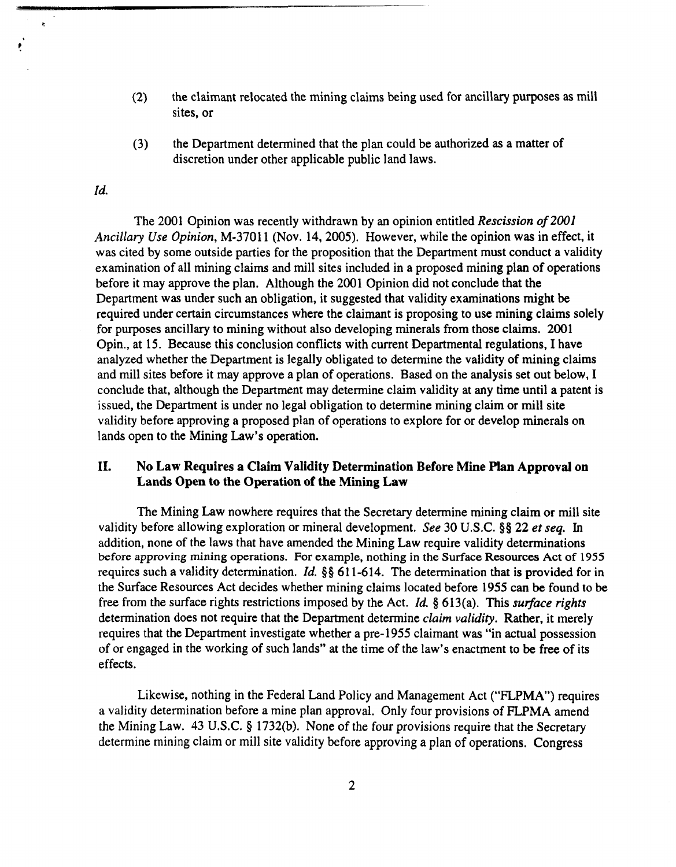- (2) the claimant relocated the mining claims being used for ancillary purposes **as** mill sites, or
- **(3)** the Department determined that the plan could be authorized **as** a matter of discretion under other applicable public land laws.

#### *Id.*

 $\mathbf{z}$ 

The 2001 Opinion was recently withdrawn by an opinion entitled Rescission of 2001 Ancillary Use Opinion, M-37011 (Nov. 14,2005). However, while the opinion was in effect, it was cited by some outside parties for the proposition that the Department must conduct a validity examination of all mining claims and mill sites included in a proposed mining plan of operations before it may approve the plan. Although the 2001 Opinion did not conclude that the Department was under such an obligation, it suggested that validity examinations might be required under certain circumstances where the claimant is proposing to use mining claims solely for purposes ancillary to mining without also developing minerals from those claims. 2001 Opin., at 15. Because this conclusion conflicts with current Departmental regulations, I have analyzed whether the Department is legally obligated to determine the validity of mining claims and mill sites before it may approve a plan of operations. Based on the analysis set out below, I conclude that, although the Department may determine claim validity at any time until a patent is issued, the Department is under no legal obligation to determine mining claim or mill site validity before approving a proposed plan of operations to explore for or develop minerals on lands open to the Mining Law's operation.

#### **11. No Law Requires a Claim Validity Determination Before Mine Plan Approval on Lands Open to the Operation of the Mining Law**

The Mining Law nowhere requires that the Secretary determine mining claim or mill site validity before allowing exploration or mineral development. See 30 **U.S.C.**\$8 22 et seq. In addition, none of the laws that have amended the Mining Law require validity determinations **before approving** mining **operations. For** example, nothing **in** the **SurfaceResources Act** of 1955 requires such a validity determination. Id. \$§ 611-614. The determination that is provided for in the Surface Resources Act decides whether mining claims located before 1955 can be found to be free from the surface rights restrictions imposed by the Act. *Id.*  $§ 613(a)$ . This *surface rights* determination does not require that the Department determine *claim validity*. Rather, it merely requires that the Department investigate whether a pre-1955 claimant was "in actual possession of or engaged in the working of such lands" at the time of the law's enactment to be free of its effects.

Likewise, nothing in the Federal Land Policy and Management Act ("FLPMA") requires a validity determination before a mine plan approval. Only four provisions of FLPMA amend the Mining Law. 43 U.S.C. § 1732(b). None of the four provisions require that the Secretary determine mining claim or mill site validity before approving a plan of operations. Congress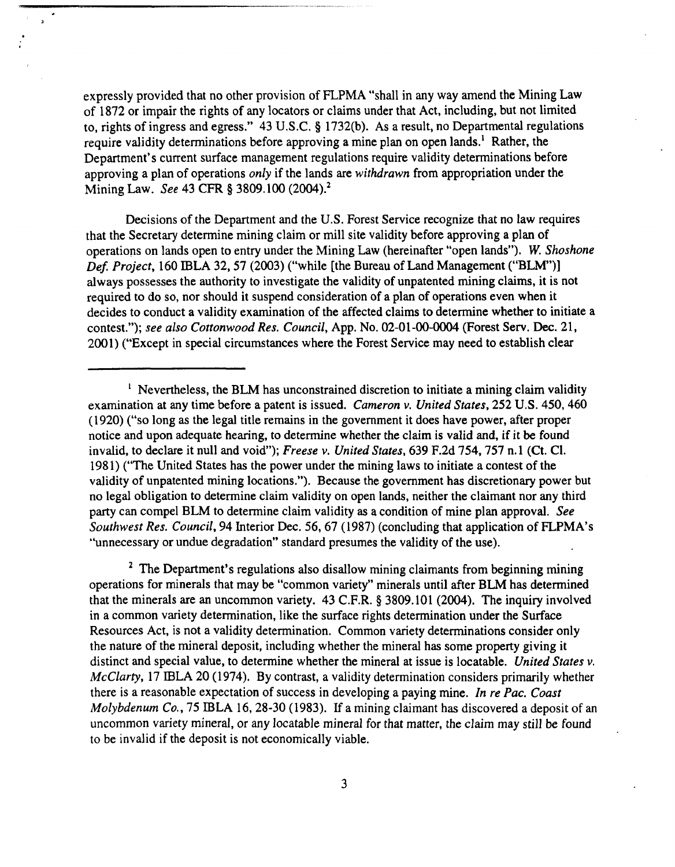expressly provided that no other provision of FLPMA "shall in any way amend the Mining Law of 1872 or impair the rights of any locators or claims under that Act, including, but not limited to, rights of ingress and egress." 43 U.S.C. \$ 1732(b). As a result, no Departmental regulations require validity determinations before approving a mine plan on open lands.' Rather, the Department's current surface management regulations require validity determinations before approving a plan of operations *only* if the lands are *withdrawn* from appropriation under the Mining Law. See 43 **CFR 5** 3809.100 (2004).~

 $\bar{\mathbf{z}}$ 

Decisions of the Department and the U.S. Forest Service recognize that no law requires that the Secretary determine mining claim or mill site validity before approving a plan of operations on lands open to entry under the Mining Law (hereinafter "open lands"). W. Shoshone Def. Project, 160 IBLA 32, 57 (2003) ("while [the Bureau of Land Management ("BLM")] always possesses the authority to investigate the validity of unpatented mining claims, it is not required to do so, nor should it suspend consideration of a plan of operations even when it decides to conduct a validity examination of the affected claims to determine whether to initiate a contest."); see also Cottonwood Res. Council, App. No. 02-01-00-0004 (Forest Serv. **Dec.** 21, 2001) ("Except in special circumstances where the Forest Service may need to establish clear

<sup>2</sup> The Department's regulations also disallow mining claimants from beginning mining operations for minerals that may be "common variety" minerals until after BLM has determined that the minerals are an uncommon variety. 43 **C.F.R.**\$ 3809.101 (2004). The inquiry involved in a common variety determination, like the surface rights determination under the Surface Resources Act, is not a validity determination. Common variety determinations consider only the nature of the mineral deposit, including whether the mineral has some property giving it distinct and special value, to determine whether the mineral at issue is locatable. United States **v.**  McClarty, 17 IBLA 20 (1974). By contrast, a validity determination considers primarily whether there is a reasonable expectation of success in developing a paying mine. In re Pac. Coast Molybdenum Co., 75 IBLA 16, 28-30 (1983). If a mining claimant has discovered a deposit of an uncommon variety mineral, or any locatable mineral for that matter, the claim may still be found to be invalid if the deposit is not economically viable.

<sup>&</sup>lt;sup>1</sup> Nevertheless, the BLM has unconstrained discretion to initiate a mining claim validity examination at any time before a patent is issued. Cameron v. United States, 252 **U.S.**450,460 (1920) ("so long as the legal title remains in the government it does have power, after proper notice and upon adequate hearing, to determine whether the claim is valid and, if it be found invalid, to declare it null and void"); Freese v. United States, 639 F.2d 754,757 n. **1** (Ct. C1. 1981) ("The United States has the power under the mining laws to initiate a contest of the validity of unpatented mining locations."). Because the government has discretionary power but no legal obligation to determine claim validity on open lands, neither the claimant nor any third party can compel BLM to determine claim validity as a condition of mine plan approval. See Southwest Res. Council, 94 Interior Dec. 56,67 (1987) (concluding that application of FLPMA's "unnecessary or undue degradation" standard presumes the validity of the use).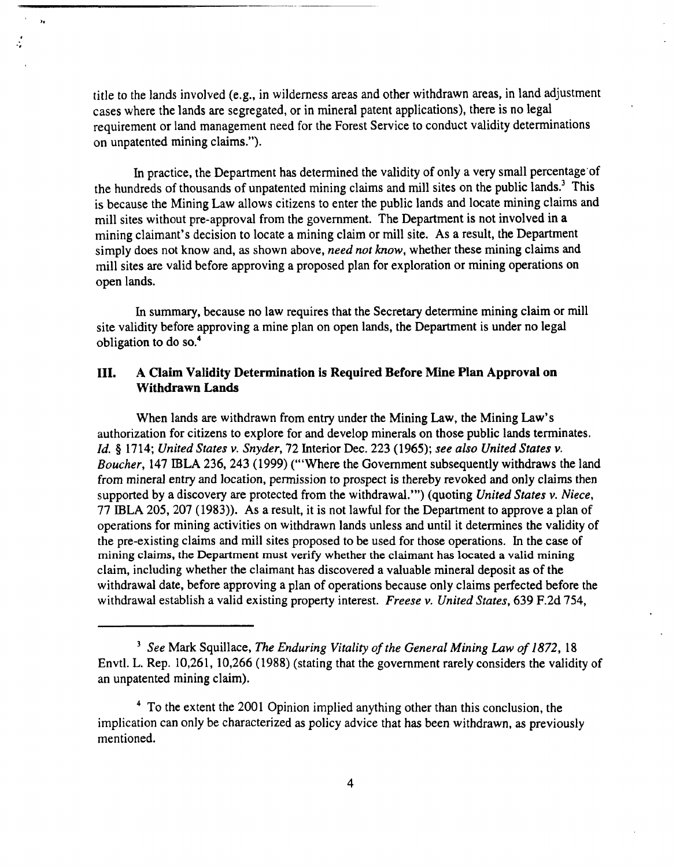title to the lands involved (e.g., in wilderness areas and other withdrawn areas, in land adjustment cases where the lands are segregated, or in mineral patent applications), there is no legal requirement or land management need for the Forest Service to conduct validity determinations on unpatented mining claims.").

 $\ddot{ }$ 

In practice, the Department has determined the validity of only a very small percentage'of the hundreds of thousands of unpatented mining claims and mill sites on the public lands.3 This is because the Mining Law allows citizens to enter the public lands and locate mining claims and mill sites without pre-approval from the government. The Department is not involved in a mining claimant's decision to locate a mining claim or mill site. As a result, the Department simply does not know and, as shown above, need not know, whether these mining claims and mill sites are valid before approving a proposed plan for exploration or mining operations on open lands.

In summary, because no law requires that the Secretary determine mining claim or mill site validity before approving a mine plan on open lands, the Department is under no legal obligation to do so.4

## **111.**  A Claim Validity Determination is Required Before Mine Plan Approval on Withdrawn Lands

When lands are withdrawn from entry under the Mining Law, the Mining Law's authorization for citizens to explore for and develop minerals on those public lands terminates. Id. *5* 1714; United States v. Snyder, 72 Interior Dec. 223 (1965); see also United States v. Boucher, 147 IBLA 236, 243 (1999) ("'Where the Government subsequently withdraws the land from mineral entry and location, permission to prospect is thereby revoked and only claims then supported by a discovery are protected from the withdrawal."') (quoting United States v. Niece, 77 IBLA 205,207 (1983)). As a result, it is not lawful for the Department to approve a plan of operations for mining activities on withdrawn lands unless and until it determines the validity of the pre-existing claims and mill sites proposed to be used for those operations. In the case of mining claims, the Department must verify whether the claimant has located a valid mining claim, including whether the claimant has discovered a valuable mineral deposit as of the withdrawal date, before approving a plan of operations because only claims perfected before the withdrawal establish a valid existing property interest. Freese v. United States, 639 F.2d 754,

 $3$  See Mark Squillace, The Enduring Vitality of the General Mining Law of 1872, 18 Envtl. L. Rep. 10,261, 10,266 (1988) (stating that the government rarely considers the validity of an unpatented mining claim).

<sup>&</sup>lt;sup>4</sup> To the extent the 2001 Opinion implied anything other than this conclusion, the implication can only be characterized as policy advice that has been withdrawn, as previously mentioned.